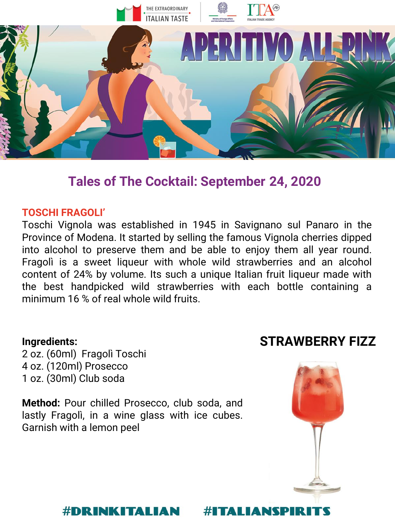

## **Tales of The Cocktail: September 24, 2020**

### **TOSCHI FRAGOLI'**

Toschi Vignola was established in 1945 in Savignano sul Panaro in the Province of Modena. It started by selling the famous Vignola cherries dipped into alcohol to preserve them and be able to enjoy them all year round. Fragolì is a sweet liqueur with whole wild strawberries and an alcohol content of 24% by volume. Its such a unique Italian fruit liqueur made with the best handpicked wild strawberries with each bottle containing a minimum 16 % of real whole wild fruits.

#### **Ingredients:**

2 oz. (60ml) Fragolì Toschi 4 oz. (120ml) Prosecco 1 oz. (30ml) Club soda

**Method:** Pour chilled Prosecco, club soda, and lastly Fragolì, in a wine glass with ice cubes. Garnish with a lemon peel

## **STRAWBERRY FIZZ**



#### #DRINKITALI **#ITALIANSP**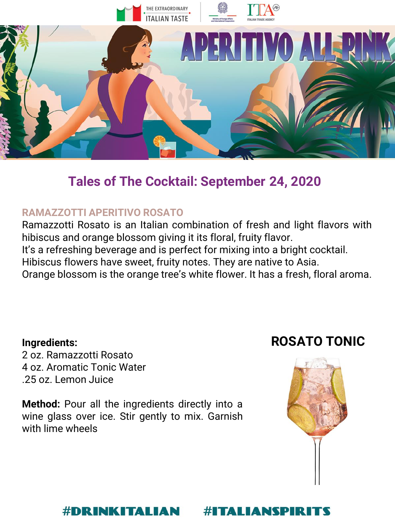

# **Tales of The Cocktail: September 24, 2020**

## **RAMAZZOTTI APERITIVO ROSATO**

Ramazzotti Rosato is an Italian combination of fresh and light flavors with hibiscus and orange blossom giving it its floral, fruity flavor. It's a refreshing beverage and is perfect for mixing into a bright cocktail. Hibiscus flowers have sweet, fruity notes. They are native to Asia. Orange blossom is the orange tree's white flower. It has a fresh, floral aroma.

### **Ingredients:**

2 oz. Ramazzotti Rosato 4 oz. Aromatic Tonic Water .25 oz. Lemon Juice

**Method:** Pour all the ingredients directly into a wine glass over ice. Stir gently to mix. Garnish with lime wheels

# **ROSATO TONIC**



#### #DRINKITALIAN #ITALIANSPII